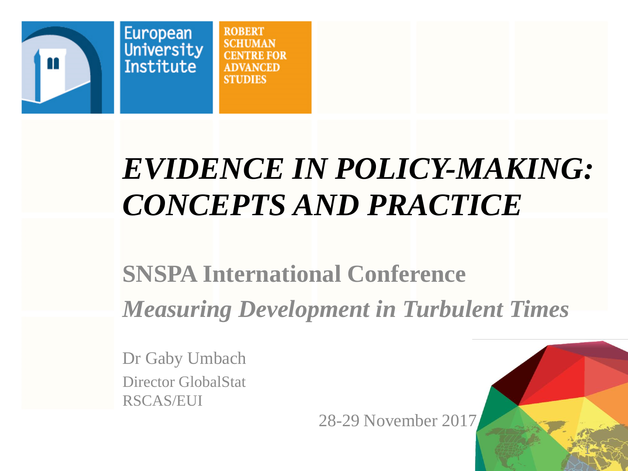

**ROBERT** VA NCED **STUDIES** 

## *EVIDENCE IN POLICY-MAKING: CONCEPTS AND PRACTICE*

### **SNSPA International Conference** *Measuring Development in Turbulent Times*

Dr Gaby Umbach Director GlobalStat RSCAS/EUI

28-29 November 2017

1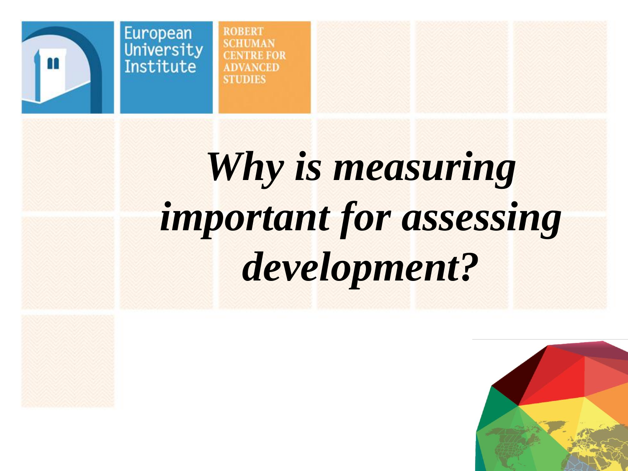

**ROBERT SCHUMAN CENTRE FOR ADVANCED STUDIES** 

## *Why is measuring important for assessing development?*

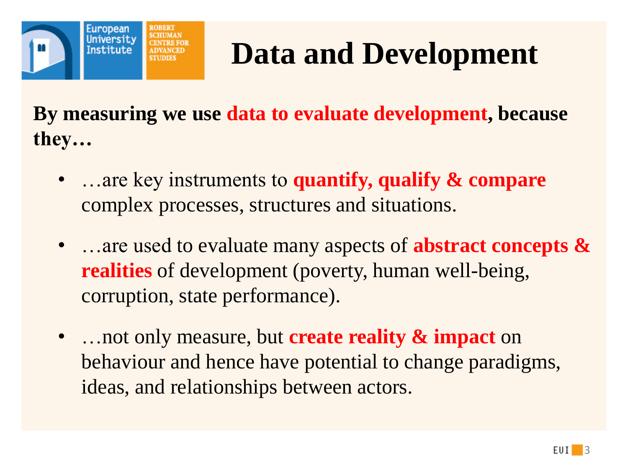

## **Data and Development**

**By measuring we use data to evaluate development, because they…**

- …are key instruments to **quantify, qualify & compare**  complex processes, structures and situations.
- …are used to evaluate many aspects of **abstract concepts & realities** of development (poverty, human well-being, corruption, state performance).
- …not only measure, but **create reality & impact** on behaviour and hence have potential to change paradigms, ideas, and relationships between actors.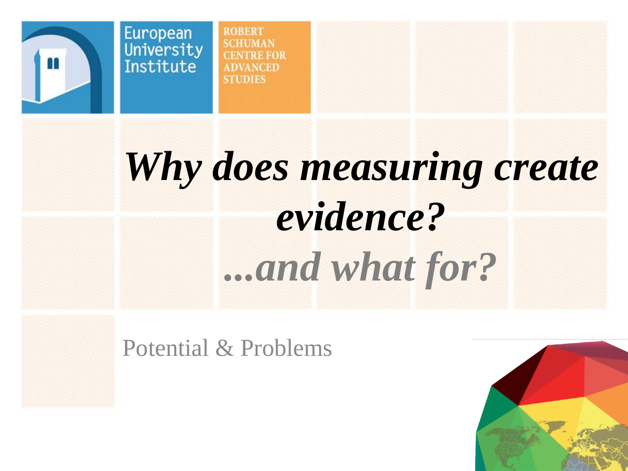

**ROBERT SCHUMAN**  $CFA$ **TRE FOR ADVANCED STUDIES** 

## *Why does measuring create evidence? ...and what for?*

Potential & Problems

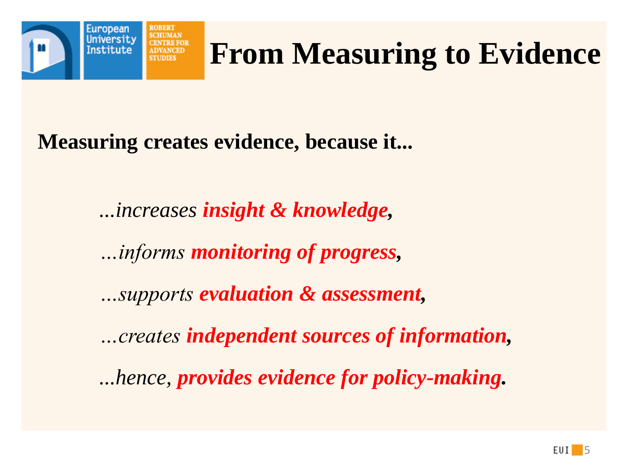

## **From Measuring to Evidence**

**Measuring creates evidence, because it...**

*...increases insight & knowledge, …informs monitoring of progress, …supports evaluation & assessment, …creates independent sources of information, ...hence, provides evidence for policy-making.*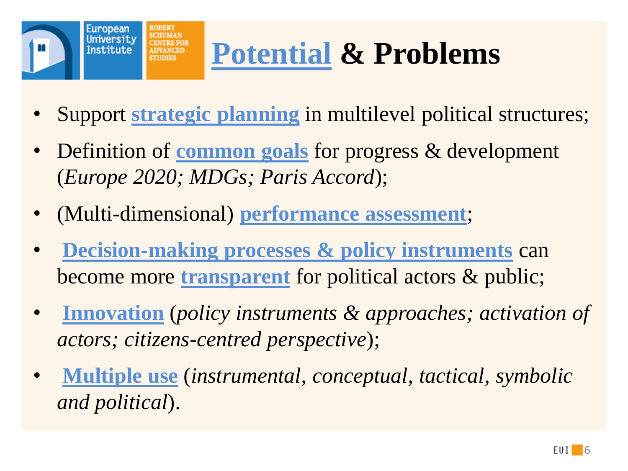

## **Potential & Problems**

- Support **strategic planning** in multilevel political structures;
- Definition of **common goals** for progress & development (*Europe 2020; MDGs; Paris Accord*);
- (Multi-dimensional) **performance assessment**;
- **Decision-making processes & policy instruments** can become more **transparent** for political actors & public;
- **Innovation** (*policy instruments & approaches; activation of actors; citizens-centred perspective*);
- **Multiple use** (*instrumental, conceptual, tactical, symbolic and political*).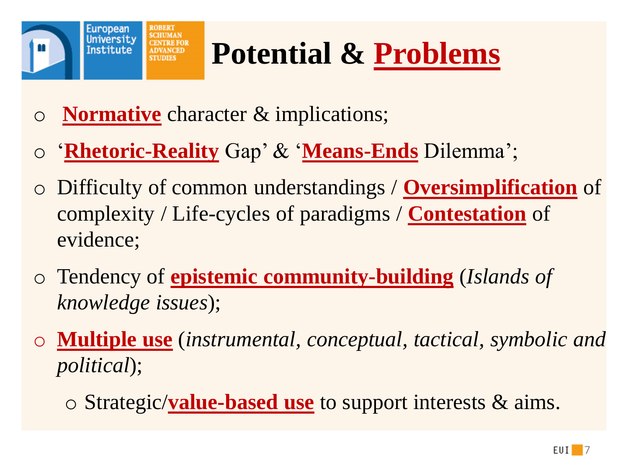

## **Potential & Problems**

- o **Normative** character & implications;
- o '**Rhetoric-Reality** Gap' & '**Means-Ends** Dilemma';
- o Difficulty of common understandings / **Oversimplification** of complexity / Life-cycles of paradigms / **Contestation** of evidence;
- o Tendency of **epistemic community-building** (*Islands of knowledge issues*);
- o **Multiple use** (*instrumental, conceptual, tactical, symbolic and political*);
	- o Strategic/**value-based use** to support interests & aims.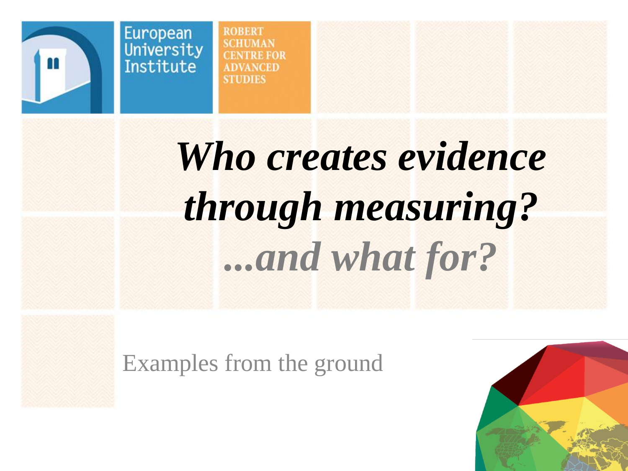

**ROBERT SCHIMAN TRE FOR ADVANCED STIDIES** 

## *Who creates evidence through measuring? ...and what for?*

Examples from the ground

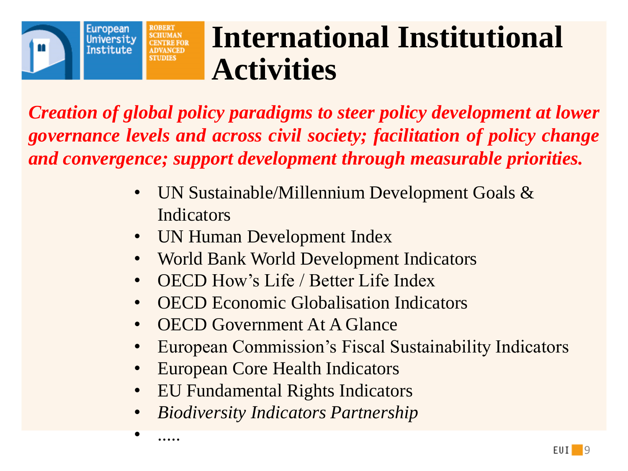

### **International Institutional Activities**

*Creation of global policy paradigms to steer policy development at lower governance levels and across civil society; facilitation of policy change and convergence; support development through measurable priorities.*

- UN Sustainable/Millennium Development Goals & Indicators
- UN Human Development Index
- World Bank World Development Indicators
- OECD How's Life / Better Life Index
- OECD Economic Globalisation Indicators
- OECD Government At A Glance
- European Commission's Fiscal Sustainability Indicators
- European Core Health Indicators
- EU Fundamental Rights Indicators
- *Biodiversity Indicators Partnership*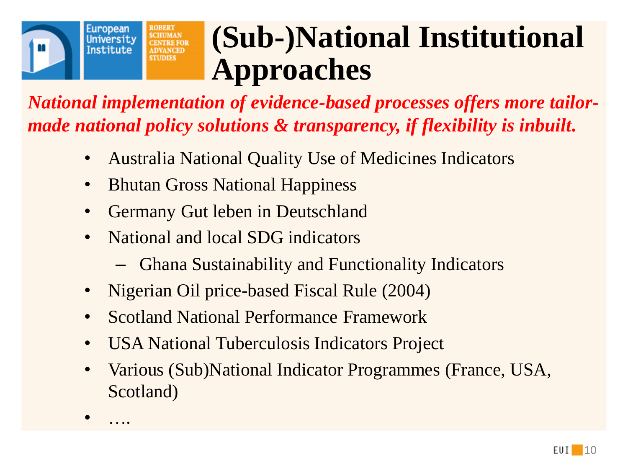

• ….

### **(Sub-)National Institutional Approaches**

*National implementation of evidence-based processes offers more tailormade national policy solutions & transparency, if flexibility is inbuilt.*

- Australia National Quality Use of Medicines Indicators
- Bhutan Gross National Happiness
- Germany Gut leben in Deutschland
- National and local SDG indicators
	- Ghana Sustainability and Functionality Indicators
- Nigerian Oil price-based Fiscal Rule (2004)
- Scotland National Performance Framework
- USA National Tuberculosis Indicators Project
- Various (Sub)National Indicator Programmes (France, USA, Scotland)

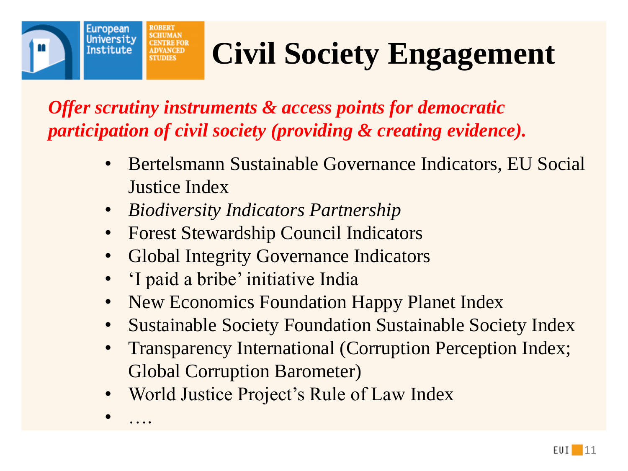## **Civil Society Engagement**

*Offer scrutiny instruments & access points for democratic participation of civil society (providing & creating evidence).*

- Bertelsmann Sustainable Governance Indicators, EU Social Justice Index
- *Biodiversity Indicators Partnership*
- Forest Stewardship Council Indicators
- Global Integrity Governance Indicators
- 'I paid a bribe' initiative India

• ….

European University **Institute** 

- New Economics Foundation Happy Planet Index
- Sustainable Society Foundation Sustainable Society Index
- Transparency International (Corruption Perception Index; Global Corruption Barometer)
- World Justice Project's Rule of Law Index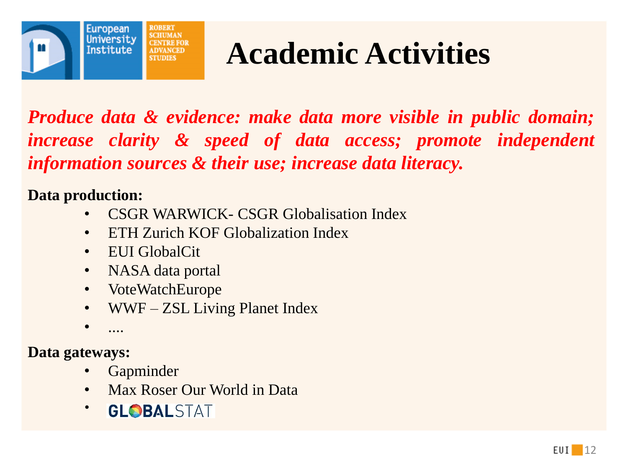

### **Academic Activities**

*Produce data & evidence: make data more visible in public domain; increase clarity & speed of data access; promote independent information sources & their use; increase data literacy.*

**Data production:**

- CSGR WARWICK- CSGR Globalisation Index
- ETH Zurich KOF Globalization Index
- EUI GlobalCit
- NASA data portal
- VoteWatchEurope
- WWF ZSL Living Planet Index
- ....

**Data gateways:**

- **Gapminder**
- Max Roser Our World in Data
- GLOBALSTAT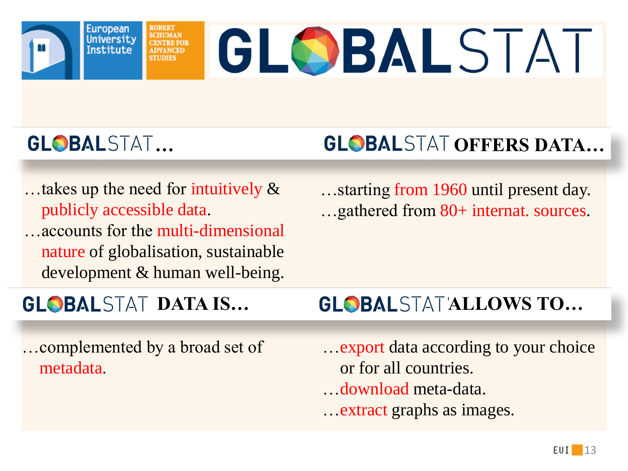University

# GLOBALSTAT

### GL**OBAL**STAT...

European

**Institute** 

### **GLOBALSTAT OFFERS DATA...**

…takes up the need for intuitively & publicly accessible data. …accounts for the multi-dimensional nature of globalisation, sustainable development & human well-being.

…complemented by a broad set of metadata.

…starting from 1960 until present day. …gathered from 80+ internat. sources.

#### **GLOBALSTAT DATA IS… GLOBALSTATALLOWS TO…**

…export data according to your choice or for all countries. …download meta-data. …extract graphs as images.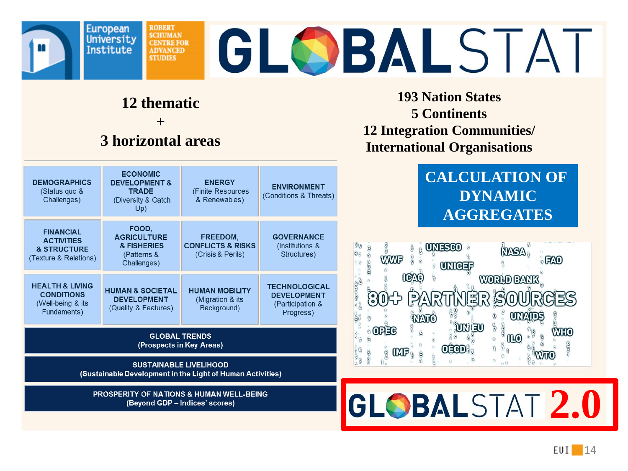

## GLOBALSTAT

#### **12 thematic**

**ROBERT SCHUMAN** 

**CENTRE FOR** 

**ADVANCED STUDIES** 

**+** 

#### **3 horizontal areas**



(Sustainable Development in the Light of Human Activities)

**PROSPERITY OF NATIONS & HUMAN WELL-BEING** (Beyond GDP - Indices' scores)

**193 Nation States 5 Continents 12 Integration Communities/ International Organisations**

#### **CALCULATION OF DYNAMIC AGGREGATES**



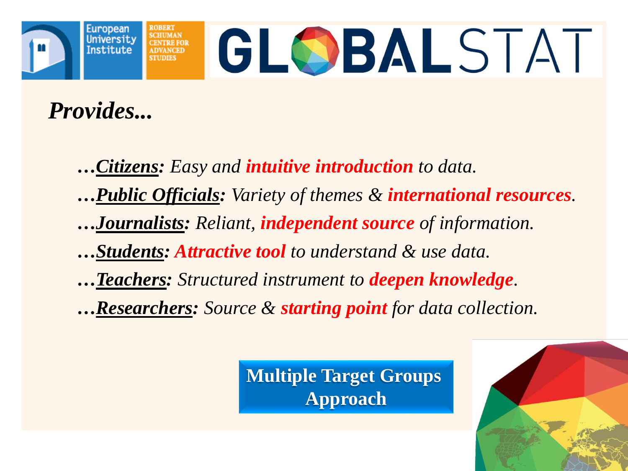

*Provides...*

*…Citizens: Easy and intuitive introduction to data.*

*…Public Officials: Variety of themes & international resources.*

*…Journalists: Reliant, independent source of information.*

*…Students: Attractive tool to understand & use data.* 

*…Teachers: Structured instrument to deepen knowledge.* 

*…Researchers: Source & starting point for data collection.*

**Multiple Target Groups Approach**

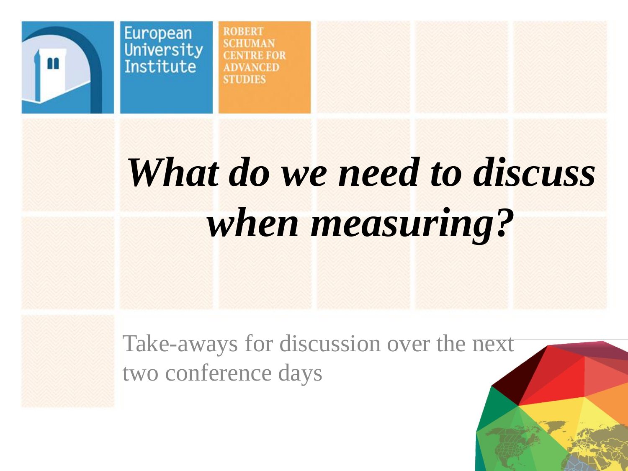

European

**ROBERT SCHIMAN TRE FOR VANCED STIDIES** 

## *What do we need to discuss when measuring?*

16

Take-aways for discussion over the next two conference days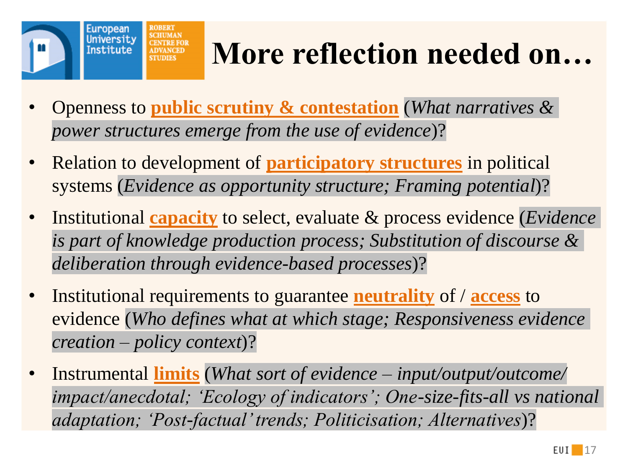

## **More reflection needed on…**

- Openness to **public scrutiny & contestation** (*What narratives & power structures emerge from the use of evidence*)?
- Relation to development of **participatory structures** in political systems (*Evidence as opportunity structure; Framing potential*)?
- Institutional **capacity** to select, evaluate & process evidence (*Evidence is part of knowledge production process; Substitution of discourse & deliberation through evidence-based processes*)?
- Institutional requirements to guarantee **neutrality** of / **access** to evidence (*Who defines what at which stage; Responsiveness evidence creation – policy context*)?
- Instrumental **limits** (*What sort of evidence – input/output/outcome/ impact/anecdotal; 'Ecology of indicators'; One-size-fits-all vs national adaptation; 'Post-factual' trends; Politicisation; Alternatives*)?